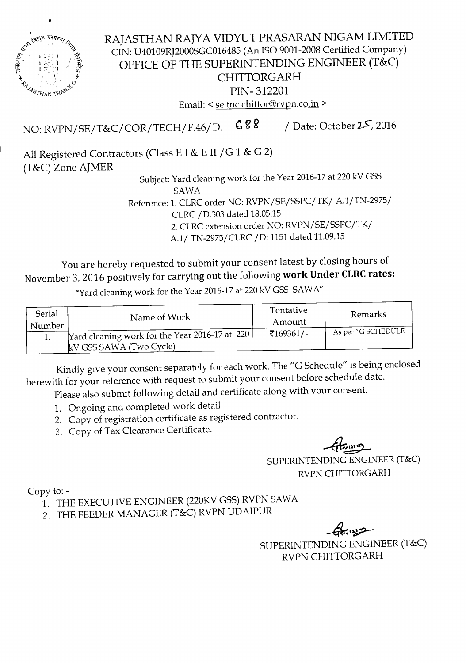

..

RAJASTHAN RAJYA VIDYUT PRASARAN NIGAM LIMITED CIN: U40109RJ2000SGC016485 (An ISO 9001-2008 Certified Company) OFFICE OF THE SUPERINTENDING ENGINEER (T&C) CHITTORGARH PIN- 312201 Email: < se.tnc.chittor@rvpn.co.in >

NO: RVPN/SE/T&C/COR/TECH/F.46/D.  $688$  / Date: October 25, 2016

All Registered Contractors (Class E I & E II / G 1 & G 2) (T&C) Zone AJMER

Subject: Yard cleaning work for the Year 2016-17 at 220 kV GSS SAWA

Reference: 1. CLRC order NO: RVPN/SE/SSPC/TK/ A.1/TN-2975/ CLRC/D.303 dated 18.05.15

2.CLRCextension order NO: RVPN/SE/SSPC/TK/

A.1/ TN-2975/CLRC / D: 1151 dated 11.09.15

You are hereby requested to submit your consent latest by closing hours of November 3, 2016 positively for carrying out the following **work Under CLRCrates:**

"Yard cleaning work for the Year 2016-17at 220kV GSS SAWA"

| Serial<br>Number | Name of Work                                                              | Tentative<br>Amount     | Remarks            |  |
|------------------|---------------------------------------------------------------------------|-------------------------|--------------------|--|
|                  | Yard cleaning work for the Year 2016-17 at 220<br>kV GSS SAWA (Two Cycle) | $\overline{5169361}/$ - | As per "G SCHEDULE |  |

Kindly give your consent separately for each work. The "G Schedule" is being enclosed herewith for your reference with request to submit your consent before schedule date.

Please also submit following detail and certificate along with your consent.

- 1. Ongoing and completed work detail.
- 2. Copy of registration certificate as registered contractor.
- 3. Copy of Tax Clearance Certificate.

 $\sim$ U $\,$  $\ddot{\phantom{1}}$ 

SUPERINTENDINGENGINEER(T&C) RVPNCHITTORGARH

Copy to:-

- 1. THE EXECUTIVE ENGINEER (220KV GSS) RVPN SAWA
- 2. THE FEEDER MANAGER (T&C) RVPN UDAIPUR

 $-$ 

SUPERINTENDING ENGINEER (T&C) RVPN CHITTORGARH